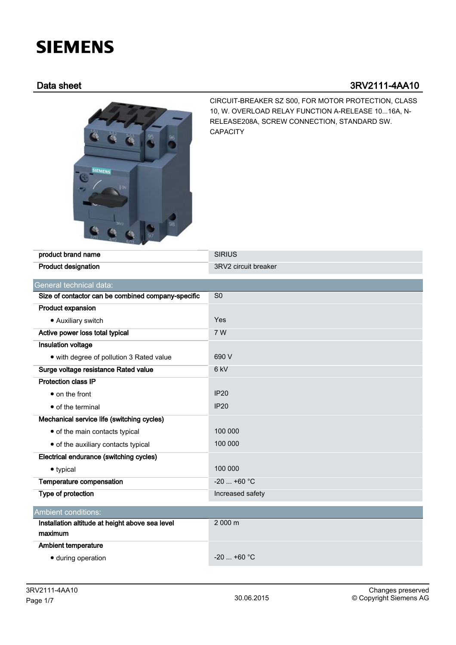## **SIEMENS**

## Data sheet 3RV2111-4AA10



CIRCUIT-BREAKER SZ S00, FOR MOTOR PROTECTION, CLASS 10, W. OVERLOAD RELAY FUNCTION A-RELEASE 10...16A, N-RELEASE208A, SCREW CONNECTION, STANDARD SW. CAPACITY

| product brand name                                 | <b>SIRIUS</b>        |
|----------------------------------------------------|----------------------|
| <b>Product designation</b>                         | 3RV2 circuit breaker |
| General technical data:                            |                      |
| Size of contactor can be combined company-specific | SO <sub>2</sub>      |
| Product expansion                                  |                      |
| • Auxiliary switch                                 | Yes                  |
| Active power loss total typical                    | 7 W                  |
| <b>Insulation voltage</b>                          |                      |
| • with degree of pollution 3 Rated value           | 690 V                |
| Surge voltage resistance Rated value               | 6 <sub>kV</sub>      |
| <b>Protection class IP</b>                         |                      |
| • on the front                                     | IP20                 |
| • of the terminal                                  | <b>IP20</b>          |
| Mechanical service life (switching cycles)         |                      |
| • of the main contacts typical                     | 100 000              |
| • of the auxiliary contacts typical                | 100 000              |
| Electrical endurance (switching cycles)            |                      |
| • typical                                          | 100 000              |
| Temperature compensation                           | $-20$ +60 °C         |
| Type of protection                                 | Increased safety     |
| Ambient conditions:                                |                      |
| Installation altitude at height above sea level    | 2 000 m              |
| maximum                                            |                      |
| <b>Ambient temperature</b>                         |                      |
| · during operation                                 | $-20$ +60 °C         |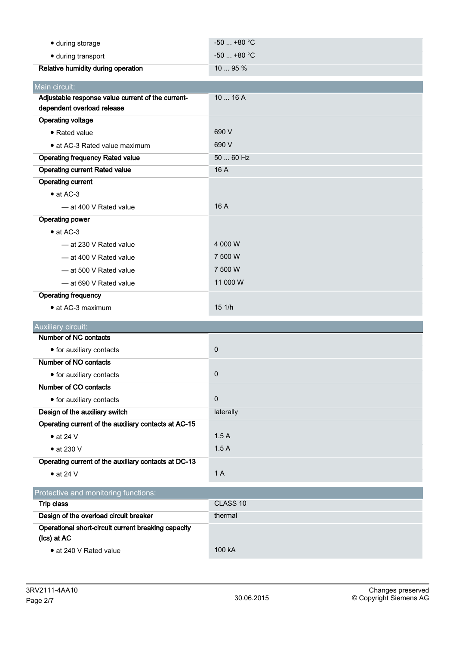| · during storage                                                   | $-50$ $+80$ °C |
|--------------------------------------------------------------------|----------------|
| · during transport                                                 | $-50$ $+80$ °C |
| Relative humidity during operation                                 | 10  95 %       |
| Main circuit:                                                      |                |
| Adjustable response value current of the current-                  | 1016A          |
| dependent overload release                                         |                |
| <b>Operating voltage</b>                                           |                |
| • Rated value                                                      | 690 V          |
| • at AC-3 Rated value maximum                                      | 690 V          |
| <b>Operating frequency Rated value</b>                             | 50  60 Hz      |
| <b>Operating current Rated value</b>                               | 16 A           |
| <b>Operating current</b>                                           |                |
| $\bullet$ at AC-3                                                  |                |
| - at 400 V Rated value                                             | 16 A           |
| <b>Operating power</b>                                             |                |
| $\bullet$ at AC-3                                                  |                |
| - at 230 V Rated value                                             | 4 000 W        |
| - at 400 V Rated value                                             | 7 500 W        |
| - at 500 V Rated value                                             | 7 500 W        |
| - at 690 V Rated value                                             | 11 000 W       |
| <b>Operating frequency</b>                                         |                |
|                                                                    |                |
| • at AC-3 maximum                                                  | 151/h          |
| Auxiliary circuit:                                                 |                |
| Number of NC contacts                                              |                |
| • for auxiliary contacts                                           | $\mathbf 0$    |
| Number of NO contacts                                              |                |
| • for auxiliary contacts                                           | $\mathbf 0$    |
| Number of CO contacts                                              |                |
| • for auxiliary contacts                                           | $\mathbf 0$    |
| Design of the auxiliary switch                                     | laterally      |
| Operating current of the auxiliary contacts at AC-15               |                |
| $\bullet$ at 24 V                                                  | 1.5A           |
| $\bullet$ at 230 V                                                 | 1.5A           |
| Operating current of the auxiliary contacts at DC-13               |                |
| $\bullet$ at 24 V                                                  | 1 A            |
| Protective and monitoring functions:                               |                |
| Trip class                                                         | CLASS 10       |
| Design of the overload circuit breaker                             | thermal        |
| Operational short-circuit current breaking capacity<br>(Ics) at AC |                |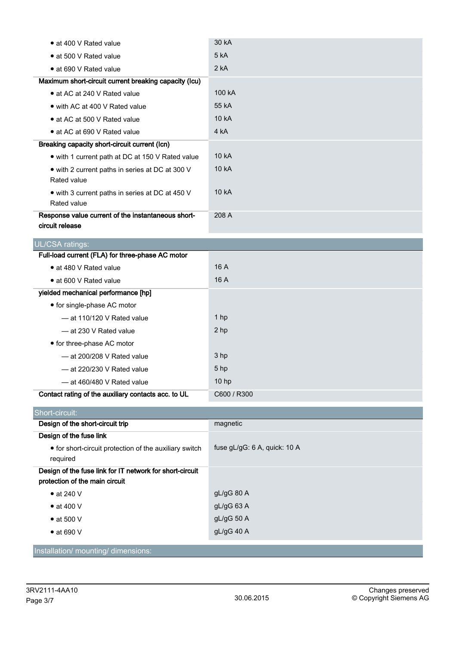| • at 400 V Rated value                                | 30 kA  |
|-------------------------------------------------------|--------|
| • at 500 V Rated value                                | 5 kA   |
| • at 690 V Rated value                                | 2 kA   |
| Maximum short-circuit current breaking capacity (Icu) |        |
| • at AC at 240 V Rated value                          | 100 kA |
| • with AC at 400 V Rated value                        | 55 kA  |
| • at AC at 500 V Rated value                          | 10 kA  |
| • at AC at 690 V Rated value                          | 4 kA   |
| Breaking capacity short-circuit current (Icn)         |        |
| • with 1 current path at DC at 150 V Rated value      | 10 kA  |
| • with 2 current paths in series at DC at 300 V       | 10 kA  |
| Rated value                                           |        |
| • with 3 current paths in series at DC at 450 V       | 10 kA  |
| Rated value                                           |        |
| Response value current of the instantaneous short-    | 208 A  |
| circuit release                                       |        |

| <b>UL/CSA ratings:</b>                              |                  |
|-----------------------------------------------------|------------------|
| Full-load current (FLA) for three-phase AC motor    |                  |
| • at 480 V Rated value                              | 16A              |
| • at 600 V Rated value                              | 16A              |
| yielded mechanical performance [hp]                 |                  |
| • for single-phase AC motor                         |                  |
| $-$ at 110/120 V Rated value                        | 1 hp             |
| - at 230 V Rated value                              | 2 hp             |
| • for three-phase AC motor                          |                  |
| $-$ at 200/208 V Rated value                        | 3 hp             |
| $-$ at 220/230 V Rated value                        | 5 <sub>hp</sub>  |
| $-$ at 460/480 V Rated value                        | 10 <sub>hp</sub> |
| Contact rating of the auxiliary contacts acc. to UL | C600 / R300      |

| Short-circuit:                                                                             |                              |
|--------------------------------------------------------------------------------------------|------------------------------|
| Design of the short-circuit trip                                                           | magnetic                     |
| Design of the fuse link                                                                    |                              |
| • for short-circuit protection of the auxiliary switch<br>required                         | fuse gL/gG: 6 A, quick: 10 A |
| Design of the fuse link for IT network for short-circuit<br>protection of the main circuit |                              |
| $\bullet$ at 240 V                                                                         | $gL/gG$ 80 A                 |
| $\bullet$ at 400 V                                                                         | gL/gG63A                     |
| $\bullet$ at 500 V                                                                         | $gL/gG$ 50 A                 |
| $\bullet$ at 690 V                                                                         | $gL/gG$ 40 A                 |
| Installation/mounting/dimensions:                                                          |                              |

Installation/ mounting/ dimensions: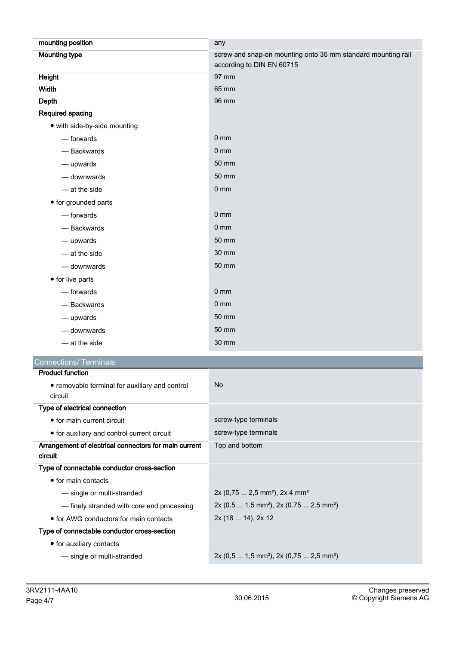| mounting position                                                | any                                                             |
|------------------------------------------------------------------|-----------------------------------------------------------------|
| <b>Mounting type</b>                                             | screw and snap-on mounting onto 35 mm standard mounting rail    |
|                                                                  | according to DIN EN 60715                                       |
| <b>Height</b>                                                    | 97 mm                                                           |
| <b>Width</b>                                                     | 65 mm                                                           |
| Depth                                                            | 96 mm                                                           |
| Required spacing                                                 |                                                                 |
| • with side-by-side mounting                                     | 0 <sub>mm</sub>                                                 |
| — forwards                                                       | 0 <sub>mm</sub>                                                 |
| - Backwards                                                      | 50 mm                                                           |
| — upwards                                                        |                                                                 |
| - downwards                                                      | 50 mm                                                           |
| - at the side                                                    | 0 <sub>mm</sub>                                                 |
| • for grounded parts                                             |                                                                 |
| - forwards                                                       | 0 <sub>mm</sub>                                                 |
| - Backwards                                                      | 0 <sub>mm</sub>                                                 |
| — upwards                                                        | 50 mm                                                           |
| — at the side                                                    | 30 mm                                                           |
| - downwards                                                      | 50 mm                                                           |
| • for live parts                                                 |                                                                 |
| — forwards                                                       | 0 <sub>mm</sub>                                                 |
| - Backwards                                                      | 0 <sub>mm</sub>                                                 |
| — upwards                                                        | 50 mm                                                           |
| - downwards                                                      | 50 mm                                                           |
| $-$ at the side                                                  | 30 mm                                                           |
| <b>Connections/ Terminals:</b>                                   |                                                                 |
| <b>Product function</b>                                          |                                                                 |
| • removable terminal for auxiliary and control<br>circuit        | No                                                              |
| Type of electrical connection                                    |                                                                 |
| • for main current circuit                                       | screw-type terminals                                            |
| • for auxiliary and control current circuit                      | screw-type terminals                                            |
| Arrangement of electrical connectors for main current<br>circuit | Top and bottom                                                  |
| Type of connectable conductor cross-section                      |                                                                 |
| • for main contacts                                              |                                                                 |
| - single or multi-stranded                                       | 2x (0,75  2,5 mm <sup>2</sup> ), 2x 4 mm <sup>2</sup>           |
| - finely stranded with core end processing                       | 2x (0.5  1.5 mm <sup>2</sup> ), 2x (0.75  2.5 mm <sup>2</sup> ) |
| • for AWG conductors for main contacts                           | 2x (18  14), 2x 12                                              |
| Type of connectable conductor cross-section                      |                                                                 |
| • for auxiliary contacts                                         |                                                                 |
| - single or multi-stranded                                       | 2x (0,5  1,5 mm <sup>2</sup> ), 2x (0,75  2,5 mm <sup>2</sup> ) |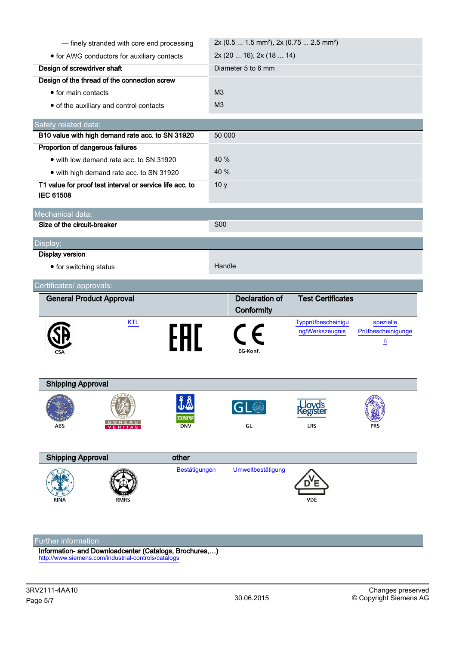| - finely stranded with core end processing                                   |                   | 2x (0.5  1.5 mm <sup>2</sup> ), 2x (0.75  2.5 mm <sup>2</sup> ) |                                       |                                                   |
|------------------------------------------------------------------------------|-------------------|-----------------------------------------------------------------|---------------------------------------|---------------------------------------------------|
| • for AWG conductors for auxiliary contacts                                  |                   | 2x (20  16), 2x (18  14)                                        |                                       |                                                   |
| Design of screwdriver shaft                                                  |                   | Diameter 5 to 6 mm                                              |                                       |                                                   |
| Design of the thread of the connection screw                                 |                   |                                                                 |                                       |                                                   |
| • for main contacts                                                          |                   | M <sub>3</sub>                                                  |                                       |                                                   |
| • of the auxiliary and control contacts                                      |                   | M <sub>3</sub>                                                  |                                       |                                                   |
| Safety related data:                                                         |                   |                                                                 |                                       |                                                   |
| B10 value with high demand rate acc. to SN 31920                             |                   | 50 000                                                          |                                       |                                                   |
| Proportion of dangerous failures                                             |                   |                                                                 |                                       |                                                   |
| • with low demand rate acc. to SN 31920                                      |                   | 40 %                                                            |                                       |                                                   |
| • with high demand rate acc. to SN 31920                                     |                   | 40 %                                                            |                                       |                                                   |
| T1 value for proof test interval or service life acc. to<br><b>IEC 61508</b> |                   | 10 <sub>y</sub>                                                 |                                       |                                                   |
| Mechanical data:                                                             |                   |                                                                 |                                       |                                                   |
| Size of the circuit-breaker                                                  |                   | <b>S00</b>                                                      |                                       |                                                   |
| Display:                                                                     |                   |                                                                 |                                       |                                                   |
| <b>Display version</b>                                                       |                   |                                                                 |                                       |                                                   |
| • for switching status                                                       |                   | Handle                                                          |                                       |                                                   |
| Certificates/ approvals:                                                     |                   |                                                                 |                                       |                                                   |
|                                                                              |                   |                                                                 |                                       |                                                   |
| <b>General Product Approval</b>                                              |                   | <b>Declaration of</b><br>Conformity                             | <b>Test Certificates</b>              |                                                   |
| <b>KTL</b>                                                                   | FAL               | EG-Konf.                                                        | Typprüfbescheinigu<br>ng/Werkszeugnis | spezielle<br>Prüfbescheinigunge<br>$\overline{u}$ |
| <b>Shipping Approval</b>                                                     |                   |                                                                 |                                       |                                                   |
| BUREA<br>ABS<br>VERITAS                                                      | DNV<br><b>DNV</b> | GL<br>GL                                                        | Lloyd's<br>Register<br><b>LRS</b>     |                                                   |
| <b>Shipping Approval</b>                                                     | other             |                                                                 |                                       |                                                   |
| <b>RINA</b><br><b>RMRS</b>                                                   | Bestätigungen     | Umweltbestätigung                                               | <b>VDE</b>                            |                                                   |

Information- and Downloadcenter (Catalogs, Brochures,…) <http://www.siemens.com/industrial-controls/catalogs>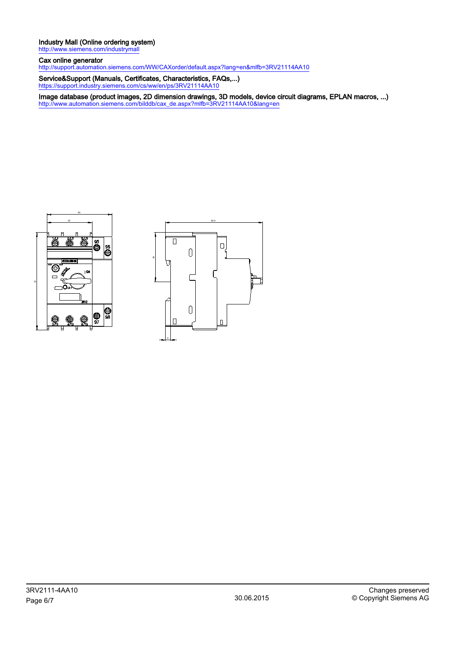## Industry Mall (Online ordering system)

<http://www.siemens.com/industrymall>

Cax online generator <http://support.automation.siemens.com/WW/CAXorder/default.aspx?lang=en&mlfb=3RV21114AA10>

Service&Support (Manuals, Certificates, Characteristics, FAQs,...) <https://support.industry.siemens.com/cs/ww/en/ps/3RV21114AA10>

Image database (product images, 2D dimension drawings, 3D models, device circuit diagrams, EPLAN macros, ...) [http://www.automation.siemens.com/bilddb/cax\\_de.aspx?mlfb=3RV21114AA10&lang=en](http://www.automation.siemens.com/bilddb/cax_de.aspx?mlfb=3RV21114AA10&lang=en)